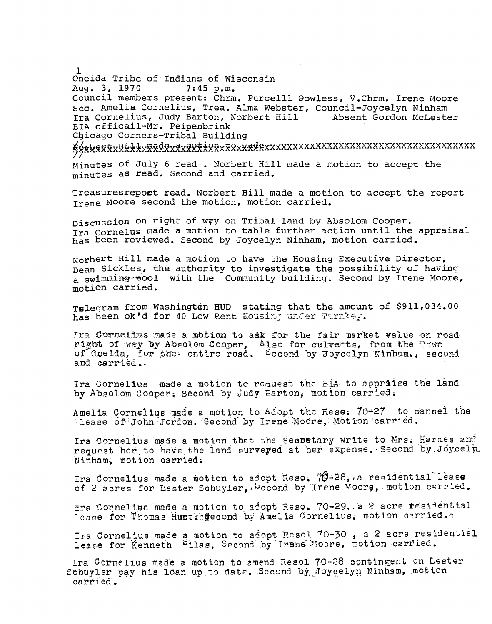Oneida Tribe of Indians of Wisconsin **San Sales** Aug. 3, 1970  $7:45 p.m.$ Council members present: Chrm. Purcelll Dowless, V.Chrm. Irene Moore Sec. Amelia Cornelius, Trea. Alma Webster, Council-Joycelyn Ninham Ira Cornelius, Judy Barton, Norbert Hill Absent Gordon McLester BIA officail-Mr. Peipenbrink Chicago Corners-Tribal Building

KÁRRA TALLA HALLA TALLA TALLA TALLA TALLA TALLA TALLA TALLA TALLA TALLA TALLA TALLA TALLA TALLA TALLA TALLA TA Minutes of July 6 read. Norbert Hill made a motion to accept the

minutes as read. Second and carried.

Treasuresrepoet read. Norbert Hill made a motion to accept the report Trene Moore second the motion, motion carried.

Discussion on right of wgy on Tribal land by Absolom Cooper. Ira Cornelus made a motion to table further action until the appraisal has been reviewed. Second by Joycelyn Ninham, motion carried.

Norbert Hill made a motion to have the Housing Executive Director, Dean Sickles, the authority to investigate the possibility of having a swimming pool with the Community building. Second by Irene Moore, motion carried.

Telegram from Washington HUD stating that the amount of \$911,034.00 has been ok'd for 40 Low Rent Housing under Turnkey.

Ira Cormelius made a motion to adk for the fair market value on road right of way by Absolom Cooper, Also for culverts, from the Town<br>of Oneida, for the entire road. Second by Joycelyn Ninham., second and carried.

Ira Cornelius made a motion to request the BIA to appraise the land by Absolom Cooper. Second by Judy Barton, motion carried.

Amelia Cornelius made a motion to Adopt the Rese. 70=27 to cansel the lease of John Jordon. Second by Irene Moore, Motion carried.

Ira Cornelius made a motion that the Securtary write to Mrs. Harmes and request her to have the land surveyed at her expense. Second by Joycely Ninhams motion carried.

Ira Cornelius made a motion to adopt Reso. 70-28, a residential lease of 2 acres for Lester Schuyler, Second by Irene Moore, motion carried.

Ira Cornelius made a motion to adopt Reso. 70-29, a 2 acre residential lease for Thomas Huntthgecond by Amelia Cornelius, motion carried.

Ira Cornelius made a motion to adopt Resol 70-30, a 2 acre residential lease for Kenneth Pilas, Second by Irune Moore, motion carried.

Ira Cornelius made a motion to amend Resol 70-28 contingent on Lester Schuyler pay his loan up to date. Second by Joycelyn Ninham, motion carried.